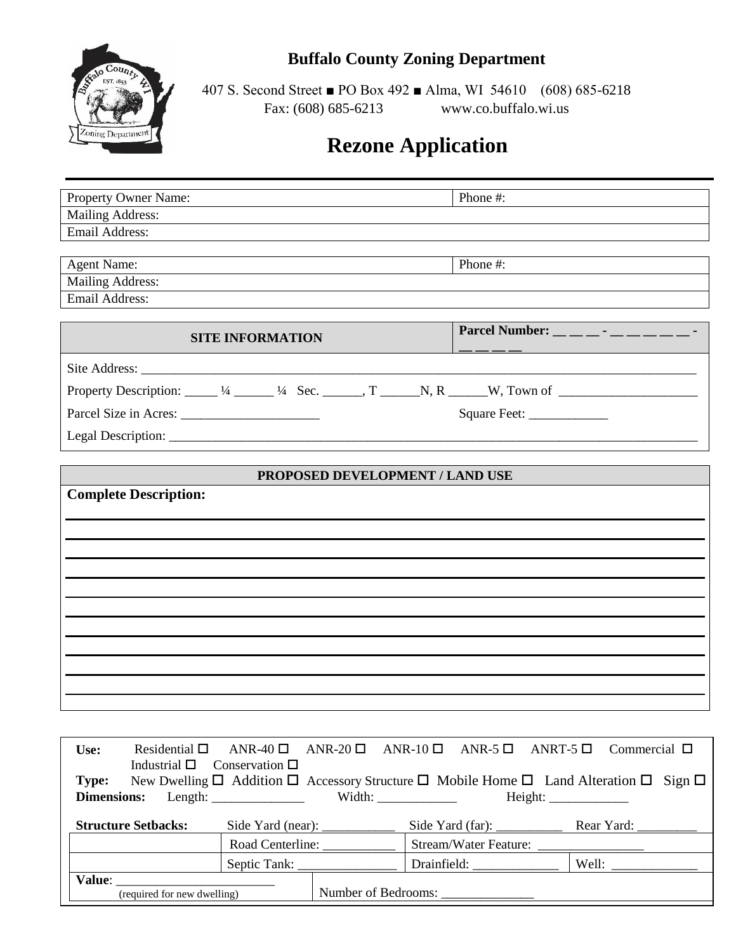## **Buffalo County Zoning Department**



407 S. Second Street ■ PO Box 492 ■ Alma, WI 54610 (608) 685-6218 Fax: (608) 685-6213 www.co.buffalo.wi.us

# **Rezone Application**

| Property Owner Name:                                                                                                            | Phone #:                                                                                                                                                                                                                                                         |
|---------------------------------------------------------------------------------------------------------------------------------|------------------------------------------------------------------------------------------------------------------------------------------------------------------------------------------------------------------------------------------------------------------|
| <b>Mailing Address:</b>                                                                                                         |                                                                                                                                                                                                                                                                  |
| Email Address:                                                                                                                  |                                                                                                                                                                                                                                                                  |
|                                                                                                                                 |                                                                                                                                                                                                                                                                  |
| <b>Agent Name:</b>                                                                                                              | Phone #:                                                                                                                                                                                                                                                         |
| Mailing Address:                                                                                                                |                                                                                                                                                                                                                                                                  |
| Email Address:                                                                                                                  |                                                                                                                                                                                                                                                                  |
|                                                                                                                                 |                                                                                                                                                                                                                                                                  |
| <b>SITE INFORMATION</b>                                                                                                         | Parcel Number: $\_\_$ $\_\_$ $\_\_$ $\_\_$ $\_\_$ $\_\_$ $\_\_$ $\_\_$ $\_\_$ $\_\_$ $\_\_$ $\_\_$ $\_\_$ $\_\_$ $\_\_$ $\_\_$ $\_\_$ $\_\_$ $\_\_$ $\_\_$ $\_\_$ $\_\_$ $\_\_$ $\_\_$ $\_\_$ $\_\_$ $\_\_$ $\_\_$ $\_\_$ $\_\_$ $\_\_$ $\_\_$ $\_\_$ $\_\_$ $\$ |
|                                                                                                                                 |                                                                                                                                                                                                                                                                  |
| Property Description: $\_\_\_1/4$ $\_\_\_1/4$ Sec. $\_\_\_$ , T $\_\_\_N$ , R $\_\_W$ , Town of $\_\_\_\_M$                     |                                                                                                                                                                                                                                                                  |
|                                                                                                                                 |                                                                                                                                                                                                                                                                  |
|                                                                                                                                 |                                                                                                                                                                                                                                                                  |
|                                                                                                                                 |                                                                                                                                                                                                                                                                  |
| PROPOSED DEVELOPMENT / LAND USE                                                                                                 |                                                                                                                                                                                                                                                                  |
| <b>Complete Description:</b>                                                                                                    |                                                                                                                                                                                                                                                                  |
|                                                                                                                                 |                                                                                                                                                                                                                                                                  |
|                                                                                                                                 |                                                                                                                                                                                                                                                                  |
|                                                                                                                                 |                                                                                                                                                                                                                                                                  |
|                                                                                                                                 |                                                                                                                                                                                                                                                                  |
|                                                                                                                                 |                                                                                                                                                                                                                                                                  |
|                                                                                                                                 |                                                                                                                                                                                                                                                                  |
|                                                                                                                                 |                                                                                                                                                                                                                                                                  |
|                                                                                                                                 |                                                                                                                                                                                                                                                                  |
|                                                                                                                                 |                                                                                                                                                                                                                                                                  |
|                                                                                                                                 |                                                                                                                                                                                                                                                                  |
|                                                                                                                                 |                                                                                                                                                                                                                                                                  |
|                                                                                                                                 |                                                                                                                                                                                                                                                                  |
| Use:<br>Residential $\square$<br>ANR-40 $\Box$<br>ANR-20 $\Box$<br>ANR-10 $\square$<br>Industrial $\Box$<br>Conservation $\Box$ | ANR-5 $\Box$<br>ANRT-5 $\Box$<br>Commercial $\Box$                                                                                                                                                                                                               |

| Type:                       |                     |                       | New Dwelling $\Box$ Addition $\Box$ Accessory Structure $\Box$ Mobile Home $\Box$ Land Alteration $\Box$ Sign $\Box$ |
|-----------------------------|---------------------|-----------------------|----------------------------------------------------------------------------------------------------------------------|
| <b>Dimensions:</b>          |                     |                       | Height:                                                                                                              |
| <b>Structure Setbacks:</b>  |                     |                       |                                                                                                                      |
|                             | Road Centerline:    | Stream/Water Feature: |                                                                                                                      |
|                             | Septic Tank:        |                       | Well:                                                                                                                |
| Value:                      |                     |                       |                                                                                                                      |
| (required for new dwelling) | Number of Bedrooms: |                       |                                                                                                                      |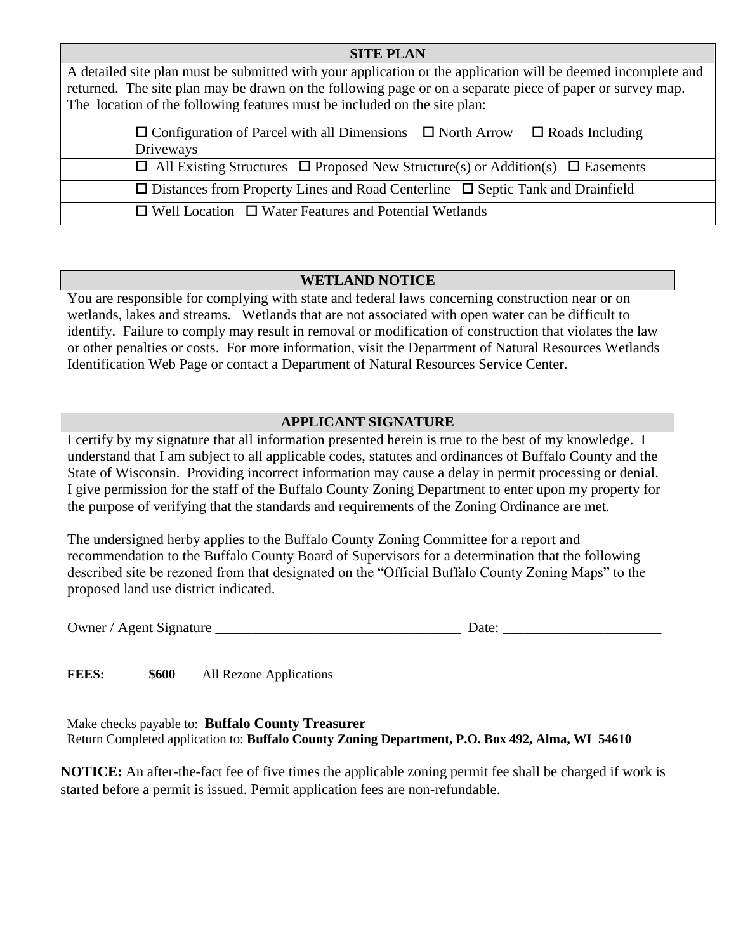#### **SITE PLAN**

A detailed site plan must be submitted with your application or the application will be deemed incomplete and returned. The site plan may be drawn on the following page or on a separate piece of paper or survey map. The location of the following features must be included on the site plan:

| $\Box$ Configuration of Parcel with all Dimensions $\Box$ North Arrow $\Box$ Roads Including    |
|-------------------------------------------------------------------------------------------------|
| Driveways                                                                                       |
| $\Box$ All Existing Structures $\Box$ Proposed New Structure(s) or Addition(s) $\Box$ Easements |
| $\Box$ Distances from Property Lines and Road Centerline $\Box$ Septic Tank and Drainfield      |
| $\Box$ Well Location $\Box$ Water Features and Potential Wetlands                               |

### **WETLAND NOTICE**

You are responsible for complying with state and federal laws concerning construction near or on wetlands, lakes and streams. Wetlands that are not associated with open water can be difficult to identify. Failure to comply may result in removal or modification of construction that violates the law or other penalties or costs. For more information, visit the Department of Natural Resources Wetlands Identification Web Page or contact a Department of Natural Resources Service Center.

#### **APPLICANT SIGNATURE**

I certify by my signature that all information presented herein is true to the best of my knowledge. I understand that I am subject to all applicable codes, statutes and ordinances of Buffalo County and the State of Wisconsin. Providing incorrect information may cause a delay in permit processing or denial. I give permission for the staff of the Buffalo County Zoning Department to enter upon my property for the purpose of verifying that the standards and requirements of the Zoning Ordinance are met.

The undersigned herby applies to the Buffalo County Zoning Committee for a report and recommendation to the Buffalo County Board of Supervisors for a determination that the following described site be rezoned from that designated on the "Official Buffalo County Zoning Maps" to the proposed land use district indicated.

Owner / Agent Signature \_\_\_\_\_\_\_\_\_\_\_\_\_\_\_\_\_\_\_\_\_\_\_\_\_\_\_\_\_\_\_\_\_\_ Date: \_\_\_\_\_\_\_\_\_\_\_\_\_\_\_\_\_\_\_\_\_\_

FEES:  $$600$  All Rezone Applications

Make checks payable to: **Buffalo County Treasurer** Return Completed application to: **Buffalo County Zoning Department, P.O. Box 492, Alma, WI 54610**

**NOTICE:** An after-the-fact fee of five times the applicable zoning permit fee shall be charged if work is started before a permit is issued. Permit application fees are non-refundable.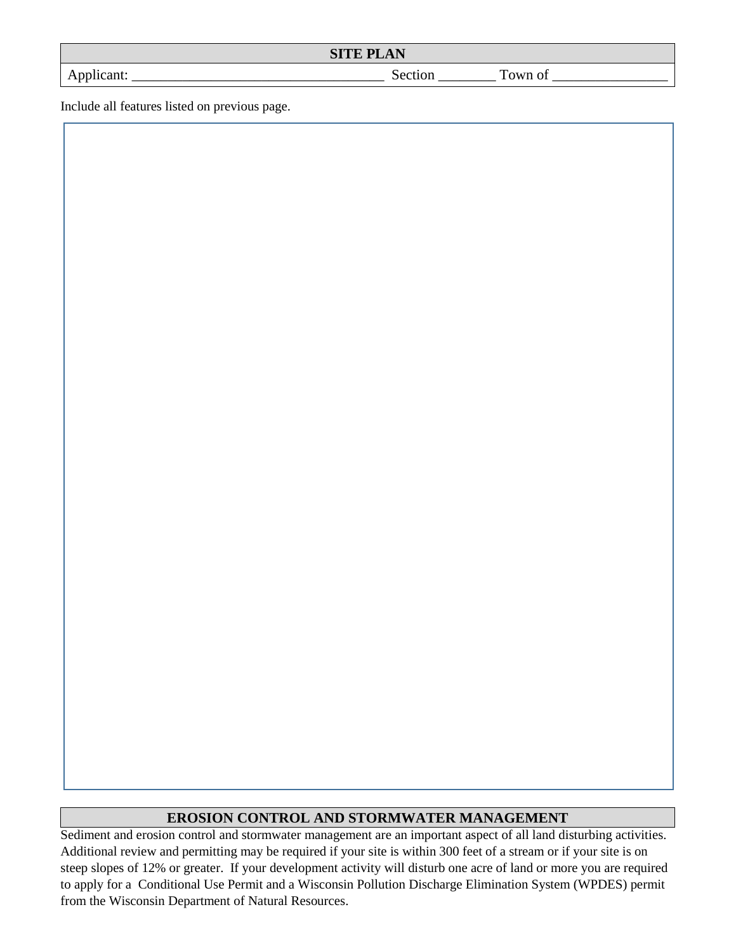| <b>SITE PLAN</b><br><b>AN</b> |          |  |  |  |
|-------------------------------|----------|--|--|--|
| $+$ $+$ $+$                   | $\sim$ - |  |  |  |

Include all features listed on previous page.

#### **EROSION CONTROL AND STORMWATER MANAGEMENT**

Sediment and erosion control and stormwater management are an important aspect of all land disturbing activities. Additional review and permitting may be required if your site is within 300 feet of a stream or if your site is on steep slopes of 12% or greater. If your development activity will disturb one acre of land or more you are required to apply for a Conditional Use Permit and a Wisconsin Pollution Discharge Elimination System (WPDES) permit from the Wisconsin Department of Natural Resources.